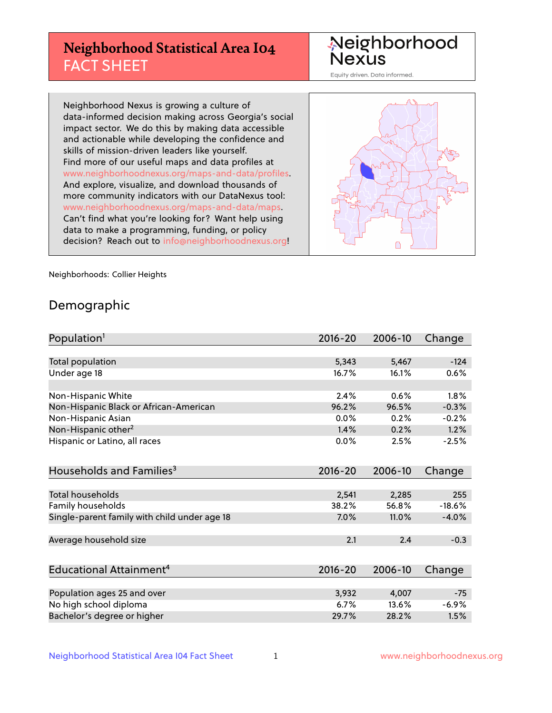## **Neighborhood Statistical Area I04** FACT SHEET

Neighborhood Nexus

Equity driven. Data informed.

Neighborhood Nexus is growing a culture of data-informed decision making across Georgia's social impact sector. We do this by making data accessible and actionable while developing the confidence and skills of mission-driven leaders like yourself. Find more of our useful maps and data profiles at www.neighborhoodnexus.org/maps-and-data/profiles. And explore, visualize, and download thousands of more community indicators with our DataNexus tool: www.neighborhoodnexus.org/maps-and-data/maps. Can't find what you're looking for? Want help using data to make a programming, funding, or policy decision? Reach out to [info@neighborhoodnexus.org!](mailto:info@neighborhoodnexus.org)



Neighborhoods: Collier Heights

### Demographic

| Population <sup>1</sup>                      | $2016 - 20$ | 2006-10 | Change   |
|----------------------------------------------|-------------|---------|----------|
|                                              |             |         |          |
| Total population                             | 5,343       | 5,467   | $-124$   |
| Under age 18                                 | 16.7%       | 16.1%   | 0.6%     |
| Non-Hispanic White                           | 2.4%        | 0.6%    | 1.8%     |
| Non-Hispanic Black or African-American       | 96.2%       | 96.5%   | $-0.3%$  |
| Non-Hispanic Asian                           | $0.0\%$     | 0.2%    | $-0.2%$  |
| Non-Hispanic other <sup>2</sup>              | 1.4%        | 0.2%    | 1.2%     |
| Hispanic or Latino, all races                | 0.0%        | 2.5%    | $-2.5%$  |
| Households and Families <sup>3</sup>         | $2016 - 20$ | 2006-10 | Change   |
|                                              |             |         |          |
| <b>Total households</b>                      | 2,541       | 2,285   | 255      |
| Family households                            | 38.2%       | 56.8%   | $-18.6%$ |
| Single-parent family with child under age 18 | 7.0%        | 11.0%   | $-4.0%$  |
| Average household size                       | 2.1         | 2.4     | $-0.3$   |
|                                              |             |         |          |
| Educational Attainment <sup>4</sup>          | $2016 - 20$ | 2006-10 | Change   |
| Population ages 25 and over                  | 3,932       | 4,007   | $-75$    |
|                                              | 6.7%        | 13.6%   | $-6.9%$  |
| No high school diploma                       |             |         |          |
| Bachelor's degree or higher                  | 29.7%       | 28.2%   | 1.5%     |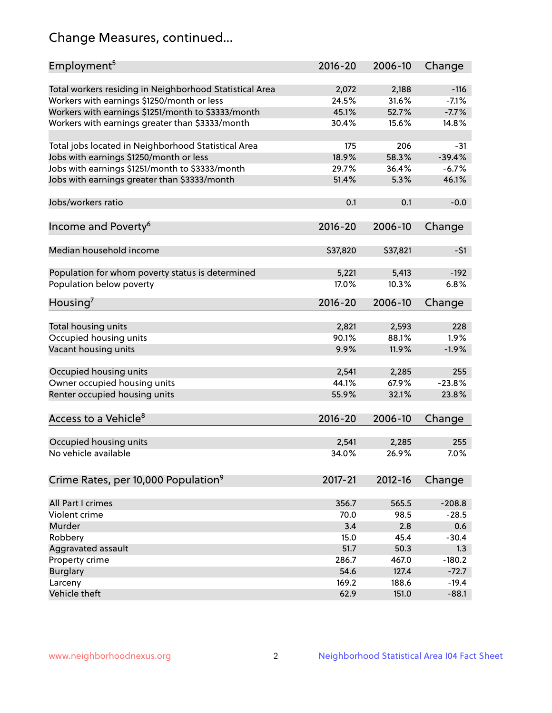## Change Measures, continued...

| Employment <sup>5</sup>                                 | $2016 - 20$ | 2006-10  | Change   |
|---------------------------------------------------------|-------------|----------|----------|
| Total workers residing in Neighborhood Statistical Area | 2,072       | 2,188    | $-116$   |
| Workers with earnings \$1250/month or less              | 24.5%       | 31.6%    | $-7.1%$  |
| Workers with earnings \$1251/month to \$3333/month      | 45.1%       | 52.7%    | $-7.7%$  |
| Workers with earnings greater than \$3333/month         | 30.4%       | 15.6%    | 14.8%    |
|                                                         |             |          |          |
| Total jobs located in Neighborhood Statistical Area     | 175         | 206      | $-31$    |
| Jobs with earnings \$1250/month or less                 | 18.9%       | 58.3%    | $-39.4%$ |
| Jobs with earnings \$1251/month to \$3333/month         | 29.7%       | 36.4%    | $-6.7%$  |
| Jobs with earnings greater than \$3333/month            | 51.4%       | 5.3%     | 46.1%    |
|                                                         |             |          |          |
| Jobs/workers ratio                                      | 0.1         | 0.1      | $-0.0$   |
|                                                         |             |          |          |
| Income and Poverty <sup>6</sup>                         | 2016-20     | 2006-10  | Change   |
|                                                         |             |          |          |
| Median household income                                 | \$37,820    | \$37,821 | $-51$    |
|                                                         |             |          |          |
| Population for whom poverty status is determined        | 5,221       | 5,413    | $-192$   |
| Population below poverty                                | 17.0%       | 10.3%    | 6.8%     |
|                                                         |             |          |          |
| Housing <sup>7</sup>                                    | 2016-20     | 2006-10  | Change   |
|                                                         |             |          |          |
| Total housing units                                     | 2,821       | 2,593    | 228      |
| Occupied housing units                                  | 90.1%       | 88.1%    | 1.9%     |
| Vacant housing units                                    | 9.9%        | 11.9%    | $-1.9%$  |
|                                                         |             |          |          |
| Occupied housing units                                  | 2,541       | 2,285    | 255      |
| Owner occupied housing units                            | 44.1%       | 67.9%    | $-23.8%$ |
| Renter occupied housing units                           | 55.9%       | 32.1%    | 23.8%    |
|                                                         |             |          |          |
| Access to a Vehicle <sup>8</sup>                        | $2016 - 20$ | 2006-10  | Change   |
|                                                         |             |          |          |
| Occupied housing units                                  | 2,541       | 2,285    | 255      |
| No vehicle available                                    | 34.0%       | 26.9%    | 7.0%     |
|                                                         |             |          |          |
| Crime Rates, per 10,000 Population <sup>9</sup>         | 2017-21     | 2012-16  | Change   |
|                                                         |             |          |          |
| All Part I crimes                                       | 356.7       | 565.5    | $-208.8$ |
| Violent crime                                           | 70.0        | 98.5     | $-28.5$  |
| Murder                                                  | 3.4         | 2.8      | 0.6      |
| Robbery                                                 | 15.0        | 45.4     | $-30.4$  |
| Aggravated assault                                      | 51.7        | 50.3     | 1.3      |
| Property crime                                          | 286.7       | 467.0    | $-180.2$ |
| <b>Burglary</b>                                         | 54.6        | 127.4    | $-72.7$  |
| Larceny                                                 | 169.2       | 188.6    | $-19.4$  |
| Vehicle theft                                           | 62.9        | 151.0    | $-88.1$  |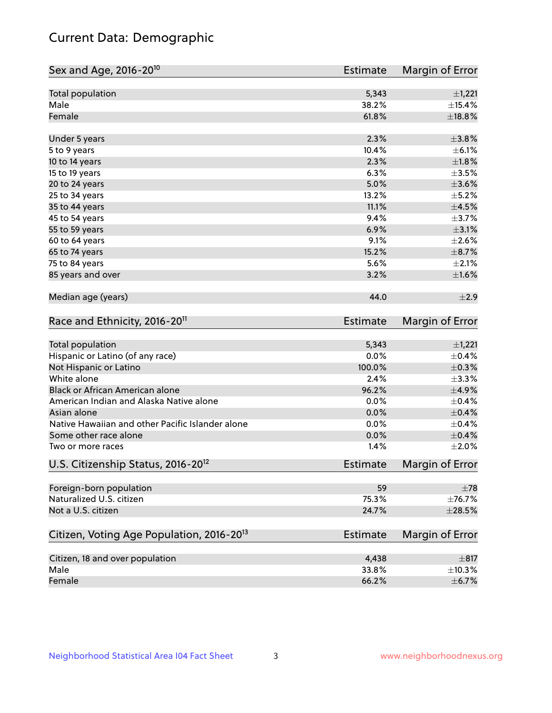## Current Data: Demographic

| Sex and Age, 2016-20 <sup>10</sup>                    | <b>Estimate</b> | Margin of Error |
|-------------------------------------------------------|-----------------|-----------------|
| Total population                                      | 5,343           | $\pm$ 1,221     |
| Male                                                  | 38.2%           | $\pm$ 15.4%     |
| Female                                                | 61.8%           | $\pm$ 18.8%     |
| Under 5 years                                         | 2.3%            | ±3.8%           |
| 5 to 9 years                                          | 10.4%           | $\pm$ 6.1%      |
| 10 to 14 years                                        | 2.3%            | $\pm1.8\%$      |
| 15 to 19 years                                        | 6.3%            | $\pm$ 3.5%      |
| 20 to 24 years                                        | 5.0%            | $\pm 3.6\%$     |
| 25 to 34 years                                        | 13.2%           | $\pm$ 5.2%      |
| 35 to 44 years                                        | 11.1%           | $\pm 4.5\%$     |
| 45 to 54 years                                        | 9.4%            | $\pm$ 3.7%      |
| 55 to 59 years                                        | 6.9%            | $\pm 3.1\%$     |
| 60 to 64 years                                        | 9.1%            | $\pm 2.6\%$     |
| 65 to 74 years                                        | 15.2%           | $\pm$ 8.7%      |
| 75 to 84 years                                        | 5.6%            | $\pm 2.1\%$     |
| 85 years and over                                     | 3.2%            | $\pm1.6\%$      |
| Median age (years)                                    | 44.0            | $\pm 2.9$       |
| Race and Ethnicity, 2016-20 <sup>11</sup>             | <b>Estimate</b> | Margin of Error |
| Total population                                      | 5,343           | $\pm$ 1,221     |
| Hispanic or Latino (of any race)                      | 0.0%            | $\pm$ 0.4%      |
| Not Hispanic or Latino                                | 100.0%          | $\pm$ 0.3%      |
| White alone                                           | 2.4%            | ±3.3%           |
| Black or African American alone                       | 96.2%           | $\pm$ 4.9%      |
| American Indian and Alaska Native alone               | 0.0%            | $\pm$ 0.4%      |
| Asian alone                                           | 0.0%            | $\pm$ 0.4%      |
| Native Hawaiian and other Pacific Islander alone      | 0.0%            | $\pm$ 0.4%      |
| Some other race alone                                 | 0.0%            | $\pm$ 0.4%      |
| Two or more races                                     | 1.4%            | $\pm 2.0\%$     |
| U.S. Citizenship Status, 2016-20 <sup>12</sup>        | <b>Estimate</b> | Margin of Error |
| Foreign-born population                               | 59              | $\pm 78$        |
| Naturalized U.S. citizen                              | 75.3%           | ±76.7%          |
| Not a U.S. citizen                                    | 24.7%           | $\pm 28.5\%$    |
| Citizen, Voting Age Population, 2016-20 <sup>13</sup> | Estimate        | Margin of Error |
| Citizen, 18 and over population                       | 4,438           | $\pm$ 817       |
| Male                                                  | 33.8%           | ±10.3%          |
| Female                                                | 66.2%           | $\pm$ 6.7%      |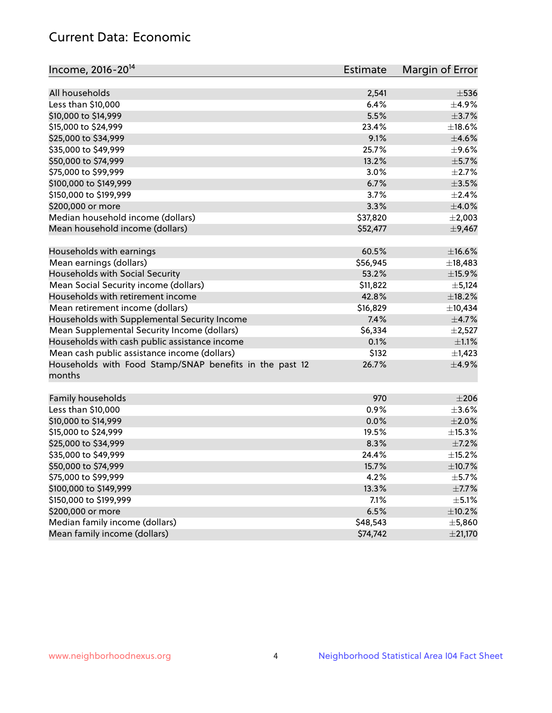## Current Data: Economic

| Income, 2016-20 <sup>14</sup>                           | Estimate | Margin of Error |
|---------------------------------------------------------|----------|-----------------|
|                                                         |          |                 |
| All households                                          | 2,541    | $\pm$ 536       |
| Less than \$10,000                                      | 6.4%     | $\pm$ 4.9%      |
| \$10,000 to \$14,999                                    | 5.5%     | $\pm$ 3.7%      |
| \$15,000 to \$24,999                                    | 23.4%    | $\pm$ 18.6%     |
| \$25,000 to \$34,999                                    | 9.1%     | $\pm$ 4.6%      |
| \$35,000 to \$49,999                                    | 25.7%    | $\pm$ 9.6%      |
| \$50,000 to \$74,999                                    | 13.2%    | $\pm$ 5.7%      |
| \$75,000 to \$99,999                                    | 3.0%     | $\pm 2.7\%$     |
| \$100,000 to \$149,999                                  | 6.7%     | $\pm$ 3.5%      |
| \$150,000 to \$199,999                                  | 3.7%     | $\pm 2.4\%$     |
| \$200,000 or more                                       | 3.3%     | $\pm 4.0\%$     |
| Median household income (dollars)                       | \$37,820 | $\pm 2,003$     |
| Mean household income (dollars)                         | \$52,477 | ±9,467          |
| Households with earnings                                | 60.5%    | $\pm$ 16.6%     |
| Mean earnings (dollars)                                 | \$56,945 | ±18,483         |
| Households with Social Security                         | 53.2%    | $\pm$ 15.9%     |
| Mean Social Security income (dollars)                   | \$11,822 | $\pm$ 5,124     |
| Households with retirement income                       | 42.8%    | ±18.2%          |
| Mean retirement income (dollars)                        | \$16,829 | ±10,434         |
| Households with Supplemental Security Income            | 7.4%     | $\pm$ 4.7%      |
| Mean Supplemental Security Income (dollars)             | \$6,334  | $\pm 2,527$     |
| Households with cash public assistance income           | 0.1%     | $\pm 1.1\%$     |
| Mean cash public assistance income (dollars)            | \$132    | $\pm$ 1,423     |
| Households with Food Stamp/SNAP benefits in the past 12 | 26.7%    | $\pm$ 4.9%      |
| months                                                  |          |                 |
|                                                         |          |                 |
| Family households                                       | 970      | $\pm 206$       |
| Less than \$10,000                                      | 0.9%     | $\pm 3.6\%$     |
| \$10,000 to \$14,999                                    | 0.0%     | $\pm 2.0\%$     |
| \$15,000 to \$24,999                                    | 19.5%    | $\pm$ 15.3%     |
| \$25,000 to \$34,999                                    | 8.3%     | $\pm$ 7.2%      |
| \$35,000 to \$49,999                                    | 24.4%    | ±15.2%          |
| \$50,000 to \$74,999                                    | 15.7%    | ±10.7%          |
| \$75,000 to \$99,999                                    | 4.2%     | $\pm$ 5.7%      |
| \$100,000 to \$149,999                                  | 13.3%    | $\pm$ 7.7%      |
| \$150,000 to \$199,999                                  | 7.1%     | $\pm$ 5.1%      |
| \$200,000 or more                                       | 6.5%     | $\pm$ 10.2%     |
| Median family income (dollars)                          | \$48,543 | ±5,860          |
| Mean family income (dollars)                            | \$74,742 | ±21,170         |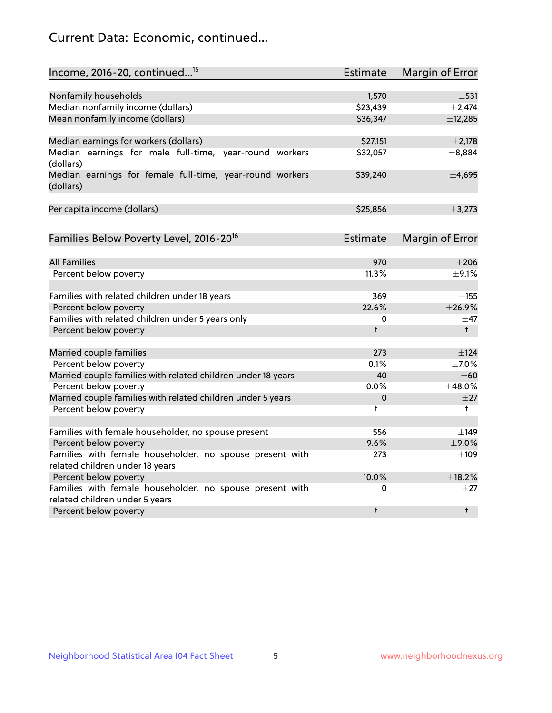## Current Data: Economic, continued...

| Income, 2016-20, continued <sup>15</sup>                                           | <b>Estimate</b> | <b>Margin of Error</b> |
|------------------------------------------------------------------------------------|-----------------|------------------------|
|                                                                                    |                 |                        |
| Nonfamily households                                                               | 1,570           | $\pm$ 531              |
| Median nonfamily income (dollars)                                                  | \$23,439        | $\pm 2,474$            |
| Mean nonfamily income (dollars)                                                    | \$36,347        | ±12,285                |
| Median earnings for workers (dollars)                                              | \$27,151        | $\pm 2,178$            |
| Median earnings for male full-time, year-round workers                             | \$32,057        | ±8,884                 |
| (dollars)<br>Median earnings for female full-time, year-round workers<br>(dollars) | \$39,240        | ±4,695                 |
| Per capita income (dollars)                                                        | \$25,856        | ±3,273                 |
| Families Below Poverty Level, 2016-20 <sup>16</sup>                                | <b>Estimate</b> | <b>Margin of Error</b> |
|                                                                                    |                 |                        |
| <b>All Families</b>                                                                | 970             | $\pm 206$              |
| Percent below poverty                                                              | 11.3%           | $\pm$ 9.1%             |
| Families with related children under 18 years                                      | 369             | $\pm$ 155              |
| Percent below poverty                                                              | 22.6%           | ±26.9%                 |
| Families with related children under 5 years only                                  | 0               | $\pm$ 47               |
| Percent below poverty                                                              | $\ddagger$      | $+$                    |
| Married couple families                                                            | 273             | $\pm$ 124              |
| Percent below poverty                                                              | 0.1%            | $\pm$ 7.0%             |
| Married couple families with related children under 18 years                       | 40              | $\pm 60$               |
| Percent below poverty                                                              | $0.0\%$         | ±48.0%                 |
| Married couple families with related children under 5 years                        | 0               | $\pm 27$               |
| Percent below poverty                                                              | $\ddagger$      | $\ddagger$             |
| Families with female householder, no spouse present                                | 556             | $\pm$ 149              |
| Percent below poverty                                                              | 9.6%            | $\pm$ 9.0%             |
| Families with female householder, no spouse present with                           | 273             | $\pm 109$              |
| related children under 18 years                                                    |                 |                        |
| Percent below poverty                                                              | 10.0%           | ±18.2%                 |
| Families with female householder, no spouse present with                           | 0               | $\pm 27$               |
| related children under 5 years                                                     |                 |                        |
| Percent below poverty                                                              | $\ddagger$      | $\ddagger$             |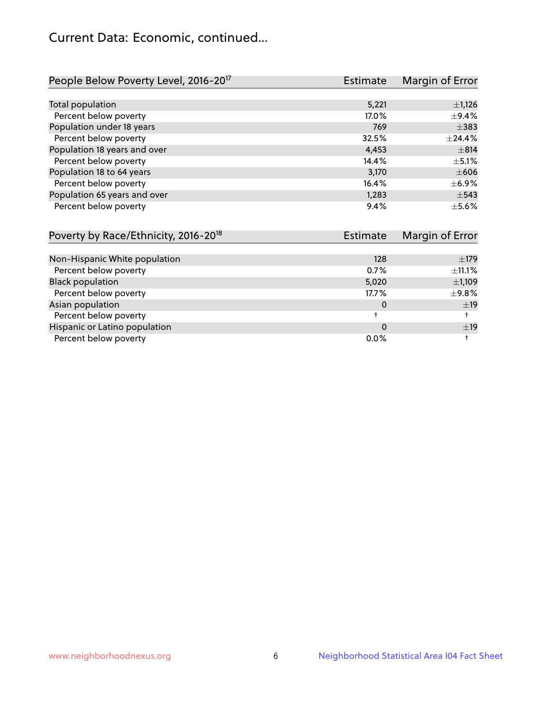## Current Data: Economic, continued...

| People Below Poverty Level, 2016-20 <sup>17</sup> | <b>Estimate</b> | Margin of Error |
|---------------------------------------------------|-----------------|-----------------|
|                                                   |                 |                 |
| Total population                                  | 5,221           | $\pm$ 1,126     |
| Percent below poverty                             | 17.0%           | $\pm$ 9.4%      |
| Population under 18 years                         | 769             | $\pm$ 383       |
| Percent below poverty                             | 32.5%           | ±24.4%          |
| Population 18 years and over                      | 4,453           | $\pm$ 814       |
| Percent below poverty                             | 14.4%           | $+5.1%$         |
| Population 18 to 64 years                         | 3,170           | $\pm 606$       |
| Percent below poverty                             | 16.4%           | $\pm$ 6.9%      |
| Population 65 years and over                      | 1,283           | $\pm$ 543       |
| Percent below poverty                             | 9.4%            | $\pm$ 5.6%      |

| Poverty by Race/Ethnicity, 2016-20 <sup>18</sup> | Estimate | Margin of Error |
|--------------------------------------------------|----------|-----------------|
|                                                  |          |                 |
| Non-Hispanic White population                    | 128      | $\pm$ 179       |
| Percent below poverty                            | 0.7%     | ±11.1%          |
| <b>Black population</b>                          | 5,020    | $\pm$ 1,109     |
| Percent below poverty                            | 17.7%    | ±9.8%           |
| Asian population                                 | 0        | ±19             |
| Percent below poverty                            |          |                 |
| Hispanic or Latino population                    | 0        | ±19             |
| Percent below poverty                            | $0.0\%$  |                 |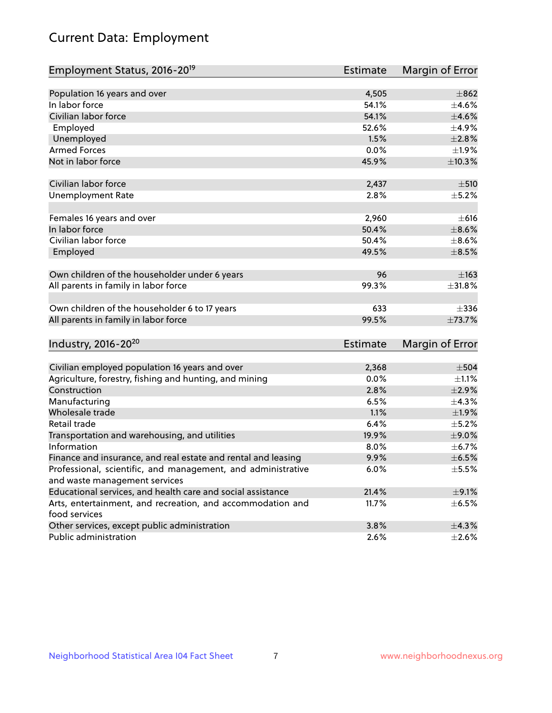# Current Data: Employment

| Employment Status, 2016-20 <sup>19</sup>                      | <b>Estimate</b> | Margin of Error |
|---------------------------------------------------------------|-----------------|-----------------|
|                                                               |                 |                 |
| Population 16 years and over                                  | 4,505           | $\pm$ 862       |
| In labor force                                                | 54.1%           | $\pm 4.6\%$     |
| Civilian labor force                                          | 54.1%           | $\pm 4.6\%$     |
| Employed                                                      | 52.6%           | $\pm$ 4.9%      |
| Unemployed                                                    | 1.5%            | $\pm 2.8\%$     |
| <b>Armed Forces</b>                                           | 0.0%            | ±1.9%           |
| Not in labor force                                            | 45.9%           | ±10.3%          |
|                                                               |                 |                 |
| Civilian labor force                                          | 2,437           | $\pm$ 510       |
| <b>Unemployment Rate</b>                                      | 2.8%            | $\pm$ 5.2%      |
| Females 16 years and over                                     | 2,960           | $\pm 616$       |
| In labor force                                                | 50.4%           | $\pm$ 8.6%      |
| Civilian labor force                                          | 50.4%           | $\pm$ 8.6%      |
| Employed                                                      | 49.5%           | $\pm$ 8.5%      |
|                                                               |                 |                 |
| Own children of the householder under 6 years                 | 96              | $\pm 163$       |
| All parents in family in labor force                          | 99.3%           | ±31.8%          |
|                                                               |                 |                 |
| Own children of the householder 6 to 17 years                 | 633             | $\pm$ 336       |
| All parents in family in labor force                          | 99.5%           | ±73.7%          |
|                                                               |                 |                 |
| Industry, 2016-20 <sup>20</sup>                               | <b>Estimate</b> | Margin of Error |
|                                                               |                 |                 |
| Civilian employed population 16 years and over                | 2,368           | $\pm$ 504       |
| Agriculture, forestry, fishing and hunting, and mining        | 0.0%            | $\pm 1.1\%$     |
| Construction                                                  | 2.8%            | $\pm 2.9\%$     |
| Manufacturing                                                 | 6.5%            | $\pm$ 4.3%      |
| Wholesale trade                                               | 1.1%            | ±1.9%           |
| Retail trade                                                  | 6.4%            | $\pm$ 5.2%      |
| Transportation and warehousing, and utilities                 | 19.9%           | $\pm$ 9.0%      |
| Information                                                   | 8.0%            | $\pm$ 6.7%      |
| Finance and insurance, and real estate and rental and leasing | 9.9%            | $\pm$ 6.5%      |
| Professional, scientific, and management, and administrative  | 6.0%            | $\pm$ 5.5%      |
| and waste management services                                 |                 |                 |
| Educational services, and health care and social assistance   | 21.4%           | $\pm$ 9.1%      |
| Arts, entertainment, and recreation, and accommodation and    | 11.7%           | $\pm$ 6.5%      |
| food services                                                 |                 |                 |
| Other services, except public administration                  | 3.8%            | ±4.3%           |
| Public administration                                         | 2.6%            | $\pm 2.6\%$     |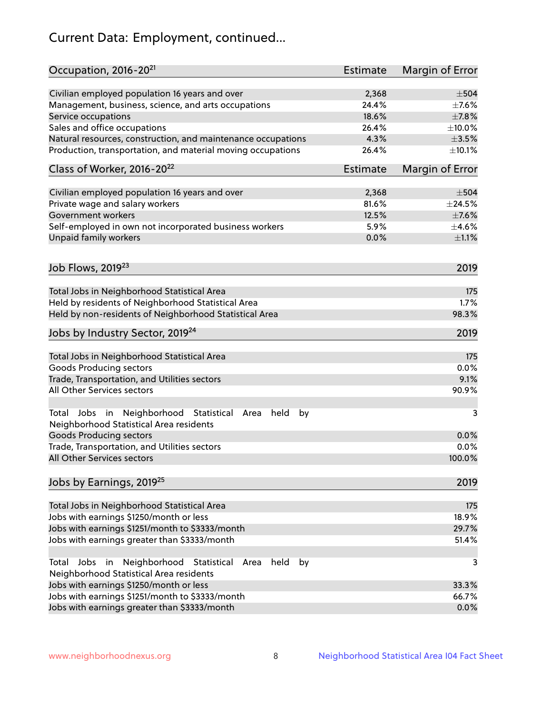# Current Data: Employment, continued...

| Occupation, 2016-20 <sup>21</sup>                                                                                | Estimate        | Margin of Error |
|------------------------------------------------------------------------------------------------------------------|-----------------|-----------------|
| Civilian employed population 16 years and over                                                                   | 2,368           | $\pm$ 504       |
| Management, business, science, and arts occupations                                                              | 24.4%           | $\pm$ 7.6%      |
| Service occupations                                                                                              | 18.6%           | $\pm$ 7.8%      |
| Sales and office occupations                                                                                     | 26.4%           | $\pm$ 10.0%     |
| Natural resources, construction, and maintenance occupations                                                     | 4.3%            | $\pm 3.5\%$     |
| Production, transportation, and material moving occupations                                                      | 26.4%           | ±10.1%          |
| Class of Worker, 2016-20 <sup>22</sup>                                                                           | <b>Estimate</b> | Margin of Error |
| Civilian employed population 16 years and over                                                                   | 2,368           | $\pm$ 504       |
| Private wage and salary workers                                                                                  | 81.6%           | $\pm$ 24.5%     |
| Government workers                                                                                               | 12.5%           | $\pm$ 7.6%      |
| Self-employed in own not incorporated business workers                                                           | 5.9%            | $\pm$ 4.6%      |
| Unpaid family workers                                                                                            | 0.0%            | $\pm 1.1\%$     |
| Job Flows, 2019 <sup>23</sup>                                                                                    |                 | 2019            |
|                                                                                                                  |                 |                 |
| Total Jobs in Neighborhood Statistical Area                                                                      |                 | 175             |
| Held by residents of Neighborhood Statistical Area                                                               |                 | 1.7%            |
| Held by non-residents of Neighborhood Statistical Area                                                           |                 | 98.3%           |
| Jobs by Industry Sector, 2019 <sup>24</sup>                                                                      |                 | 2019            |
| Total Jobs in Neighborhood Statistical Area                                                                      |                 | 175             |
| <b>Goods Producing sectors</b>                                                                                   |                 | 0.0%            |
| Trade, Transportation, and Utilities sectors                                                                     |                 | 9.1%            |
| All Other Services sectors                                                                                       |                 | 90.9%           |
| Total Jobs in Neighborhood Statistical<br>held<br>by<br>Area<br>Neighborhood Statistical Area residents          |                 | 3               |
| <b>Goods Producing sectors</b>                                                                                   |                 | 0.0%            |
| Trade, Transportation, and Utilities sectors                                                                     |                 | 0.0%            |
| All Other Services sectors                                                                                       |                 | 100.0%          |
| Jobs by Earnings, 2019 <sup>25</sup>                                                                             |                 | 2019            |
| Total Jobs in Neighborhood Statistical Area                                                                      |                 | 175             |
| Jobs with earnings \$1250/month or less                                                                          |                 | 18.9%           |
| Jobs with earnings \$1251/month to \$3333/month                                                                  |                 | 29.7%           |
| Jobs with earnings greater than \$3333/month                                                                     |                 | 51.4%           |
| Neighborhood Statistical<br>Jobs<br>in<br>held<br>by<br>Total<br>Area<br>Neighborhood Statistical Area residents |                 | 3               |
| Jobs with earnings \$1250/month or less                                                                          |                 | 33.3%           |
| Jobs with earnings \$1251/month to \$3333/month                                                                  |                 | 66.7%           |
| Jobs with earnings greater than \$3333/month                                                                     |                 | 0.0%            |
|                                                                                                                  |                 |                 |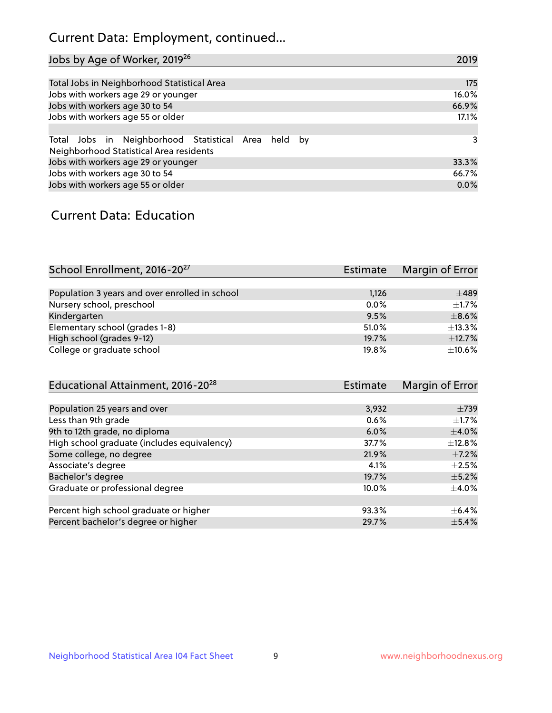## Current Data: Employment, continued...

| Jobs by Age of Worker, 2019 <sup>26</sup>                                                      | 2019  |
|------------------------------------------------------------------------------------------------|-------|
|                                                                                                |       |
| Total Jobs in Neighborhood Statistical Area                                                    | 175   |
| Jobs with workers age 29 or younger                                                            | 16.0% |
| Jobs with workers age 30 to 54                                                                 | 66.9% |
| Jobs with workers age 55 or older                                                              | 17.1% |
|                                                                                                |       |
| Total Jobs in Neighborhood Statistical Area held by<br>Neighborhood Statistical Area residents | 3     |
| Jobs with workers age 29 or younger                                                            | 33.3% |
| Jobs with workers age 30 to 54                                                                 | 66.7% |
| Jobs with workers age 55 or older                                                              | 0.0%  |

### Current Data: Education

| School Enrollment, 2016-20 <sup>27</sup>       | Estimate | Margin of Error |
|------------------------------------------------|----------|-----------------|
|                                                |          |                 |
| Population 3 years and over enrolled in school | 1,126    | $\pm 489$       |
| Nursery school, preschool                      | 0.0%     | $+1.7%$         |
| Kindergarten                                   | 9.5%     | $\pm$ 8.6%      |
| Elementary school (grades 1-8)                 | 51.0%    | ±13.3%          |
| High school (grades 9-12)                      | 19.7%    | $\pm$ 12.7%     |
| College or graduate school                     | 19.8%    | $\pm$ 10.6%     |

| Educational Attainment, 2016-20 <sup>28</sup> | <b>Estimate</b> | Margin of Error |
|-----------------------------------------------|-----------------|-----------------|
|                                               |                 |                 |
| Population 25 years and over                  | 3,932           | $\pm 739$       |
| Less than 9th grade                           | 0.6%            | $\pm 1.7\%$     |
| 9th to 12th grade, no diploma                 | 6.0%            | $\pm$ 4.0%      |
| High school graduate (includes equivalency)   | 37.7%           | $\pm$ 12.8%     |
| Some college, no degree                       | 21.9%           | $\pm$ 7.2%      |
| Associate's degree                            | 4.1%            | $\pm 2.5\%$     |
| Bachelor's degree                             | 19.7%           | $\pm$ 5.2%      |
| Graduate or professional degree               | 10.0%           | $\pm$ 4.0%      |
|                                               |                 |                 |
| Percent high school graduate or higher        | 93.3%           | $+6.4%$         |
| Percent bachelor's degree or higher           | 29.7%           | $\pm$ 5.4%      |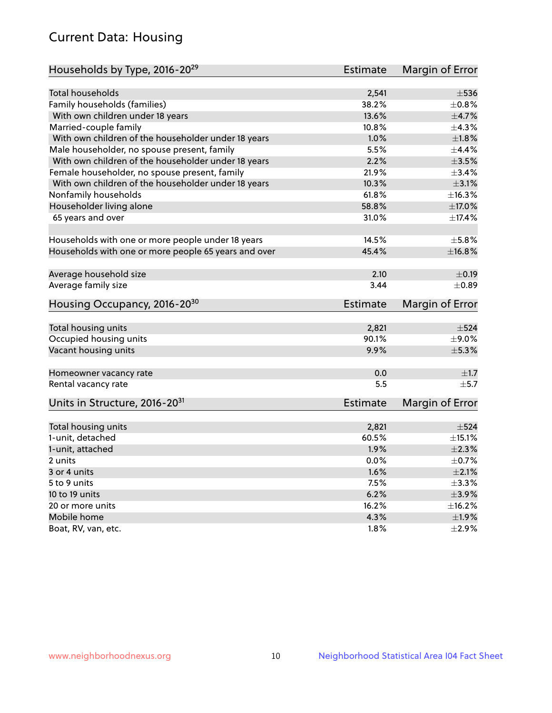## Current Data: Housing

| Households by Type, 2016-20 <sup>29</sup>            | Estimate        | Margin of Error |
|------------------------------------------------------|-----------------|-----------------|
|                                                      |                 |                 |
| Total households                                     | 2,541           | $\pm$ 536       |
| Family households (families)                         | 38.2%           | $\pm$ 0.8%      |
| With own children under 18 years                     | 13.6%           | $\pm$ 4.7%      |
| Married-couple family                                | 10.8%           | ±4.3%           |
| With own children of the householder under 18 years  | 1.0%            | ±1.8%           |
| Male householder, no spouse present, family          | 5.5%            | $\pm$ 4.4%      |
| With own children of the householder under 18 years  | 2.2%            | $\pm 3.5\%$     |
| Female householder, no spouse present, family        | 21.9%           | ±3.4%           |
| With own children of the householder under 18 years  | 10.3%           | $\pm$ 3.1%      |
| Nonfamily households                                 | 61.8%           | ±16.3%          |
| Householder living alone                             | 58.8%           | $\pm$ 17.0%     |
| 65 years and over                                    | 31.0%           | ±17.4%          |
|                                                      |                 |                 |
| Households with one or more people under 18 years    | 14.5%           | $\pm$ 5.8%      |
| Households with one or more people 65 years and over | 45.4%           | ±16.8%          |
| Average household size                               | 2.10            | $\pm$ 0.19      |
|                                                      |                 |                 |
| Average family size                                  | 3.44            | $\pm$ 0.89      |
| Housing Occupancy, 2016-20 <sup>30</sup>             | <b>Estimate</b> | Margin of Error |
| Total housing units                                  | 2,821           | $\pm$ 524       |
| Occupied housing units                               | 90.1%           | $\pm$ 9.0%      |
| Vacant housing units                                 | 9.9%            | $\pm$ 5.3%      |
|                                                      |                 |                 |
| Homeowner vacancy rate                               | 0.0             | $\pm 1.7$       |
| Rental vacancy rate                                  | 5.5             | $\pm$ 5.7       |
| Units in Structure, 2016-20 <sup>31</sup>            | <b>Estimate</b> | Margin of Error |
|                                                      |                 |                 |
| Total housing units                                  | 2,821           | $\pm$ 524       |
| 1-unit, detached                                     | 60.5%           | $\pm$ 15.1%     |
| 1-unit, attached                                     | 1.9%            | $\pm 2.3\%$     |
| 2 units                                              | 0.0%            | $\pm$ 0.7%      |
| 3 or 4 units                                         | 1.6%            | $\pm 2.1\%$     |
| 5 to 9 units                                         | 7.5%            | $\pm$ 3.3%      |
| 10 to 19 units                                       | 6.2%            | $\pm$ 3.9%      |
| 20 or more units                                     | 16.2%           | ±16.2%          |
| Mobile home                                          | 4.3%            | ±1.9%           |
| Boat, RV, van, etc.                                  | 1.8%            | $\pm 2.9\%$     |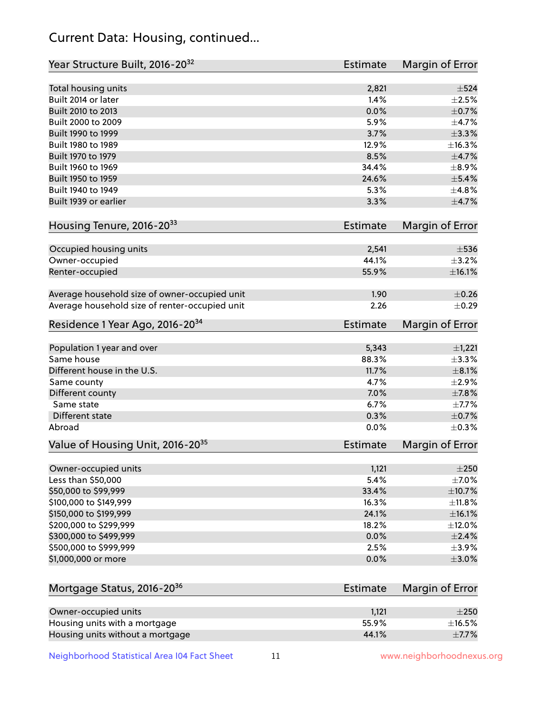## Current Data: Housing, continued...

| Year Structure Built, 2016-20 <sup>32</sup>    | <b>Estimate</b> | Margin of Error        |
|------------------------------------------------|-----------------|------------------------|
| Total housing units                            | 2,821           | $\pm$ 524              |
| Built 2014 or later                            | 1.4%            | $\pm 2.5\%$            |
| Built 2010 to 2013                             | 0.0%            | $\pm$ 0.7%             |
| Built 2000 to 2009                             | 5.9%            | ±4.7%                  |
| Built 1990 to 1999                             | 3.7%            | $\pm$ 3.3%             |
| Built 1980 to 1989                             | 12.9%           | ±16.3%                 |
| Built 1970 to 1979                             | 8.5%            | ±4.7%                  |
| Built 1960 to 1969                             | 34.4%           | $\pm$ 8.9%             |
| Built 1950 to 1959                             | 24.6%           | $\pm$ 5.4%             |
| Built 1940 to 1949                             | 5.3%            | ±4.8%                  |
| Built 1939 or earlier                          | 3.3%            | $\pm$ 4.7%             |
| Housing Tenure, 2016-2033                      | <b>Estimate</b> | Margin of Error        |
| Occupied housing units                         | 2,541           | $\pm$ 536              |
| Owner-occupied                                 | 44.1%           | $\pm$ 3.2%             |
| Renter-occupied                                | 55.9%           | ±16.1%                 |
| Average household size of owner-occupied unit  | 1.90            | $\pm$ 0.26             |
| Average household size of renter-occupied unit | 2.26            | $\pm$ 0.29             |
| Residence 1 Year Ago, 2016-20 <sup>34</sup>    | <b>Estimate</b> | <b>Margin of Error</b> |
| Population 1 year and over                     | 5,343           | $\pm$ 1,221            |
| Same house                                     | 88.3%           | ±3.3%                  |
| Different house in the U.S.                    | 11.7%           | $\pm$ 8.1%             |
| Same county                                    | 4.7%            | $\pm 2.9\%$            |
| Different county                               | 7.0%            | $\pm$ 7.8%             |
| Same state                                     | 6.7%            | ±7.7%                  |
| Different state                                | 0.3%            | $\pm$ 0.7%             |
| Abroad                                         | 0.0%            | $\pm$ 0.3%             |
| Value of Housing Unit, 2016-20 <sup>35</sup>   | <b>Estimate</b> | Margin of Error        |
| Owner-occupied units                           | 1,121           | $\pm 250$              |
| Less than \$50,000                             | 5.4%            | ±7.0%                  |
| \$50,000 to \$99,999                           | 33.4%           | ±10.7%                 |
| \$100,000 to \$149,999                         | 16.3%           | ±11.8%                 |
| \$150,000 to \$199,999                         | 24.1%           | ±16.1%                 |
| \$200,000 to \$299,999                         | 18.2%           | ±12.0%                 |
| \$300,000 to \$499,999                         | 0.0%            | $\pm 2.4\%$            |
| \$500,000 to \$999,999                         | 2.5%            | $\pm$ 3.9%             |
| \$1,000,000 or more                            | 0.0%            | $\pm 3.0\%$            |
| Mortgage Status, 2016-20 <sup>36</sup>         | <b>Estimate</b> | Margin of Error        |
| Owner-occupied units                           | 1,121           | $\pm 250$              |
| Housing units with a mortgage                  | 55.9%           | $\pm$ 16.5%            |

Housing units without a mortgage  $\pm 7.7\%$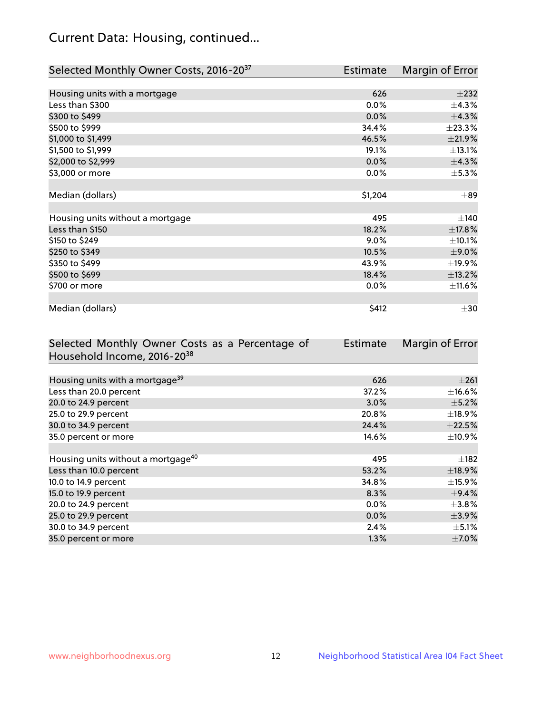## Current Data: Housing, continued...

| Selected Monthly Owner Costs, 2016-20 <sup>37</sup> | Estimate | Margin of Error |
|-----------------------------------------------------|----------|-----------------|
|                                                     |          |                 |
| Housing units with a mortgage                       | 626      | $\pm 232$       |
| Less than \$300                                     | 0.0%     | $\pm$ 4.3%      |
| \$300 to \$499                                      | 0.0%     | ±4.3%           |
| \$500 to \$999                                      | 34.4%    | ±23.3%          |
| \$1,000 to \$1,499                                  | 46.5%    | ±21.9%          |
| \$1,500 to \$1,999                                  | 19.1%    | ±13.1%          |
| \$2,000 to \$2,999                                  | 0.0%     | ±4.3%           |
| \$3,000 or more                                     | 0.0%     | $\pm$ 5.3%      |
|                                                     |          |                 |
| Median (dollars)                                    | \$1,204  | $\pm$ 89        |
|                                                     |          |                 |
| Housing units without a mortgage                    | 495      | $\pm$ 140       |
| Less than \$150                                     | 18.2%    | ±17.8%          |
| \$150 to \$249                                      | $9.0\%$  | $\pm$ 10.1%     |
| \$250 to \$349                                      | 10.5%    | $\pm$ 9.0%      |
| \$350 to \$499                                      | 43.9%    | ±19.9%          |
| \$500 to \$699                                      | 18.4%    | ±13.2%          |
| \$700 or more                                       | 0.0%     | $\pm$ 11.6%     |
|                                                     |          |                 |
| Median (dollars)                                    | \$412    | $\pm$ 30        |

| Selected Monthly Owner Costs as a Percentage of | <b>Estimate</b> | Margin of Error |
|-------------------------------------------------|-----------------|-----------------|
| Household Income, 2016-20 <sup>38</sup>         |                 |                 |
|                                                 |                 |                 |
| Housing units with a mortgage <sup>39</sup>     | 626             | $\pm 261$       |
| Less than 20.0 percent                          | 37.2%           | $\pm$ 16.6%     |
| 20.0 to 24.9 percent                            | 3.0%            | $\pm$ 5.2%      |
| 25.0 to 29.9 percent                            | 20.8%           | $\pm$ 18.9%     |
| 30.0 to 34.9 percent                            | 24.4%           | $\pm 22.5\%$    |
| 35.0 percent or more                            | 14.6%           | $\pm$ 10.9%     |
|                                                 |                 |                 |
| Housing units without a mortgage <sup>40</sup>  | 495             | $\pm$ 182       |
| Less than 10.0 percent                          | 53.2%           | ±18.9%          |
| 10.0 to 14.9 percent                            | 34.8%           | $\pm$ 15.9%     |
| 15.0 to 19.9 percent                            | 8.3%            | $\pm$ 9.4%      |
| 20.0 to 24.9 percent                            | $0.0\%$         | $\pm 3.8\%$     |
| 25.0 to 29.9 percent                            | 0.0%            | $\pm$ 3.9%      |
| 30.0 to 34.9 percent                            | 2.4%            | $\pm$ 5.1%      |
| 35.0 percent or more                            | 1.3%            | $\pm$ 7.0%      |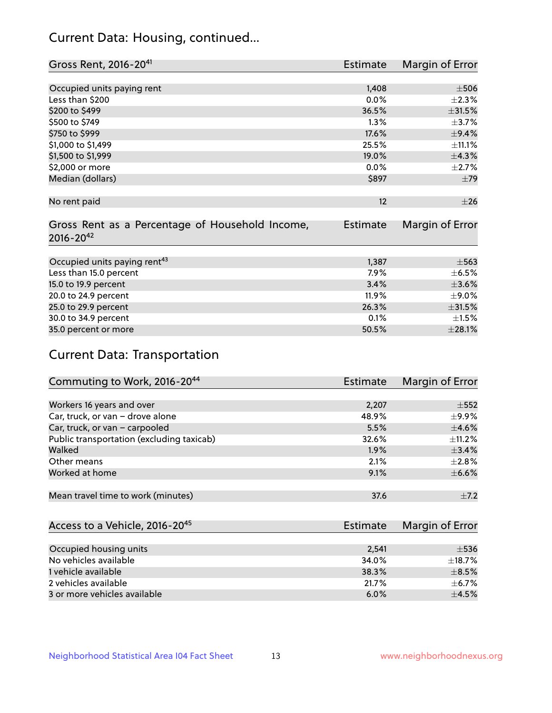## Current Data: Housing, continued...

| Gross Rent, 2016-20 <sup>41</sup>               | <b>Estimate</b> | Margin of Error |
|-------------------------------------------------|-----------------|-----------------|
|                                                 |                 |                 |
| Occupied units paying rent                      | 1,408           | $\pm$ 506       |
| Less than \$200                                 | 0.0%            | $\pm 2.3\%$     |
| \$200 to \$499                                  | 36.5%           | $\pm$ 31.5%     |
| \$500 to \$749                                  | 1.3%            | $\pm$ 3.7%      |
| \$750 to \$999                                  | 17.6%           | $\pm$ 9.4%      |
| \$1,000 to \$1,499                              | 25.5%           | ±11.1%          |
| \$1,500 to \$1,999                              | 19.0%           | ±4.3%           |
| \$2,000 or more                                 | 0.0%            | $\pm 2.7\%$     |
| Median (dollars)                                | \$897           | ±79             |
|                                                 |                 |                 |
| No rent paid                                    | 12              | $\pm 26$        |
|                                                 |                 |                 |
| Gross Rent as a Percentage of Household Income, | <b>Estimate</b> | Margin of Error |
| $2016 - 20^{42}$                                |                 |                 |
|                                                 |                 |                 |
| Occupied units paying rent <sup>43</sup>        | 1,387           | $\pm$ 563       |
| Less than 15.0 percent                          | $7.9\%$         | $\pm$ 6.5%      |
| 15.0 to 19.9 percent                            | 3.4%            | $\pm 3.6\%$     |
| 20.0 to 24.9 percent                            | 11.9%           | $\pm$ 9.0%      |
| 25.0 to 29.9 percent                            | 26.3%           | $\pm$ 31.5%     |
| 30.0 to 34.9 percent                            | 0.1%            | $\pm 1.5\%$     |
| 35.0 percent or more                            | 50.5%           | $\pm 28.1\%$    |

# Current Data: Transportation

| Commuting to Work, 2016-20 <sup>44</sup>  | Estimate | Margin of Error |
|-------------------------------------------|----------|-----------------|
|                                           |          |                 |
| Workers 16 years and over                 | 2,207    | $\pm$ 552       |
| Car, truck, or van - drove alone          | 48.9%    | $\pm$ 9.9%      |
| Car, truck, or van - carpooled            | 5.5%     | $\pm$ 4.6%      |
| Public transportation (excluding taxicab) | 32.6%    | $\pm$ 11.2%     |
| Walked                                    | 1.9%     | $\pm$ 3.4%      |
| Other means                               | 2.1%     | $\pm 2.8\%$     |
| Worked at home                            | 9.1%     | $\pm$ 6.6%      |
|                                           |          |                 |
| Mean travel time to work (minutes)        | 37.6     | $\pm$ 7.2       |

| Access to a Vehicle, 2016-20 <sup>45</sup> | Estimate | Margin of Error |
|--------------------------------------------|----------|-----------------|
|                                            |          |                 |
| Occupied housing units                     | 2,541    | $\pm$ 536       |
| No vehicles available                      | 34.0%    | $\pm$ 18.7%     |
| 1 vehicle available                        | 38.3%    | $\pm$ 8.5%      |
| 2 vehicles available                       | 21.7%    | $+6.7%$         |
| 3 or more vehicles available               | 6.0%     | $+4.5%$         |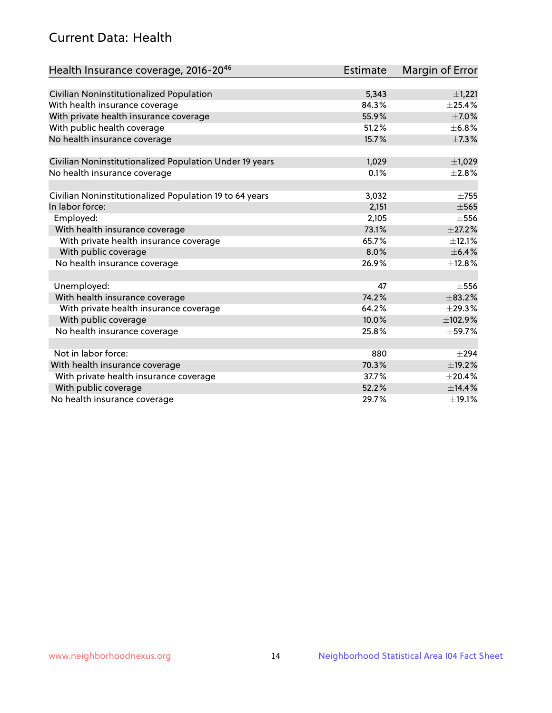## Current Data: Health

| Health Insurance coverage, 2016-2046                    | <b>Estimate</b> | <b>Margin of Error</b> |
|---------------------------------------------------------|-----------------|------------------------|
|                                                         |                 |                        |
| Civilian Noninstitutionalized Population                | 5,343           | $\pm$ 1,221            |
| With health insurance coverage                          | 84.3%           | $\pm$ 25.4%            |
| With private health insurance coverage                  | 55.9%           | $\pm$ 7.0%             |
| With public health coverage                             | 51.2%           | $\pm$ 6.8%             |
| No health insurance coverage                            | 15.7%           | $\pm$ 7.3%             |
| Civilian Noninstitutionalized Population Under 19 years | 1,029           | $\pm$ 1,029            |
| No health insurance coverage                            | 0.1%            | $\pm 2.8\%$            |
|                                                         |                 |                        |
| Civilian Noninstitutionalized Population 19 to 64 years | 3,032           | $\pm 755$              |
| In labor force:                                         | 2,151           | $\pm$ 565              |
| Employed:                                               | 2,105           | $\pm$ 556              |
| With health insurance coverage                          | 73.1%           | $\pm 27.2\%$           |
| With private health insurance coverage                  | 65.7%           | $\pm$ 12.1%            |
| With public coverage                                    | 8.0%            | $\pm$ 6.4%             |
| No health insurance coverage                            | 26.9%           | ±12.8%                 |
|                                                         |                 |                        |
| Unemployed:                                             | 47              | $\pm$ 556              |
| With health insurance coverage                          | 74.2%           | ±83.2%                 |
| With private health insurance coverage                  | 64.2%           | ±29.3%                 |
| With public coverage                                    | 10.0%           | ±102.9%                |
| No health insurance coverage                            | 25.8%           | ±59.7%                 |
|                                                         |                 |                        |
| Not in labor force:                                     | 880             | $\pm 294$              |
| With health insurance coverage                          | 70.3%           | ±19.2%                 |
| With private health insurance coverage                  | 37.7%           | $\pm 20.4\%$           |
| With public coverage                                    | 52.2%           | ±14.4%                 |
| No health insurance coverage                            | 29.7%           | ±19.1%                 |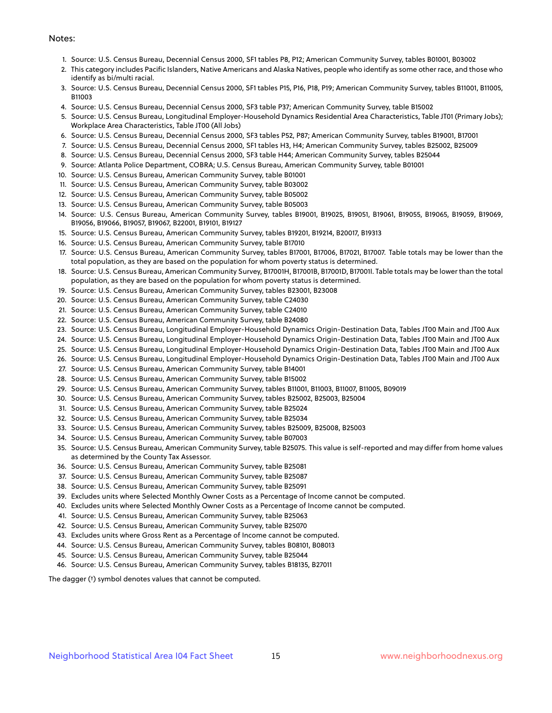#### Notes:

- 1. Source: U.S. Census Bureau, Decennial Census 2000, SF1 tables P8, P12; American Community Survey, tables B01001, B03002
- 2. This category includes Pacific Islanders, Native Americans and Alaska Natives, people who identify as some other race, and those who identify as bi/multi racial.
- 3. Source: U.S. Census Bureau, Decennial Census 2000, SF1 tables P15, P16, P18, P19; American Community Survey, tables B11001, B11005, B11003
- 4. Source: U.S. Census Bureau, Decennial Census 2000, SF3 table P37; American Community Survey, table B15002
- 5. Source: U.S. Census Bureau, Longitudinal Employer-Household Dynamics Residential Area Characteristics, Table JT01 (Primary Jobs); Workplace Area Characteristics, Table JT00 (All Jobs)
- 6. Source: U.S. Census Bureau, Decennial Census 2000, SF3 tables P52, P87; American Community Survey, tables B19001, B17001
- 7. Source: U.S. Census Bureau, Decennial Census 2000, SF1 tables H3, H4; American Community Survey, tables B25002, B25009
- 8. Source: U.S. Census Bureau, Decennial Census 2000, SF3 table H44; American Community Survey, tables B25044
- 9. Source: Atlanta Police Department, COBRA; U.S. Census Bureau, American Community Survey, table B01001
- 10. Source: U.S. Census Bureau, American Community Survey, table B01001
- 11. Source: U.S. Census Bureau, American Community Survey, table B03002
- 12. Source: U.S. Census Bureau, American Community Survey, table B05002
- 13. Source: U.S. Census Bureau, American Community Survey, table B05003
- 14. Source: U.S. Census Bureau, American Community Survey, tables B19001, B19025, B19051, B19061, B19055, B19065, B19059, B19069, B19056, B19066, B19057, B19067, B22001, B19101, B19127
- 15. Source: U.S. Census Bureau, American Community Survey, tables B19201, B19214, B20017, B19313
- 16. Source: U.S. Census Bureau, American Community Survey, table B17010
- 17. Source: U.S. Census Bureau, American Community Survey, tables B17001, B17006, B17021, B17007. Table totals may be lower than the total population, as they are based on the population for whom poverty status is determined.
- 18. Source: U.S. Census Bureau, American Community Survey, B17001H, B17001B, B17001D, B17001I. Table totals may be lower than the total population, as they are based on the population for whom poverty status is determined.
- 19. Source: U.S. Census Bureau, American Community Survey, tables B23001, B23008
- 20. Source: U.S. Census Bureau, American Community Survey, table C24030
- 21. Source: U.S. Census Bureau, American Community Survey, table C24010
- 22. Source: U.S. Census Bureau, American Community Survey, table B24080
- 23. Source: U.S. Census Bureau, Longitudinal Employer-Household Dynamics Origin-Destination Data, Tables JT00 Main and JT00 Aux
- 24. Source: U.S. Census Bureau, Longitudinal Employer-Household Dynamics Origin-Destination Data, Tables JT00 Main and JT00 Aux
- 25. Source: U.S. Census Bureau, Longitudinal Employer-Household Dynamics Origin-Destination Data, Tables JT00 Main and JT00 Aux
- 26. Source: U.S. Census Bureau, Longitudinal Employer-Household Dynamics Origin-Destination Data, Tables JT00 Main and JT00 Aux
- 27. Source: U.S. Census Bureau, American Community Survey, table B14001
- 28. Source: U.S. Census Bureau, American Community Survey, table B15002
- 29. Source: U.S. Census Bureau, American Community Survey, tables B11001, B11003, B11007, B11005, B09019
- 30. Source: U.S. Census Bureau, American Community Survey, tables B25002, B25003, B25004
- 31. Source: U.S. Census Bureau, American Community Survey, table B25024
- 32. Source: U.S. Census Bureau, American Community Survey, table B25034
- 33. Source: U.S. Census Bureau, American Community Survey, tables B25009, B25008, B25003
- 34. Source: U.S. Census Bureau, American Community Survey, table B07003
- 35. Source: U.S. Census Bureau, American Community Survey, table B25075. This value is self-reported and may differ from home values as determined by the County Tax Assessor.
- 36. Source: U.S. Census Bureau, American Community Survey, table B25081
- 37. Source: U.S. Census Bureau, American Community Survey, table B25087
- 38. Source: U.S. Census Bureau, American Community Survey, table B25091
- 39. Excludes units where Selected Monthly Owner Costs as a Percentage of Income cannot be computed.
- 40. Excludes units where Selected Monthly Owner Costs as a Percentage of Income cannot be computed.
- 41. Source: U.S. Census Bureau, American Community Survey, table B25063
- 42. Source: U.S. Census Bureau, American Community Survey, table B25070
- 43. Excludes units where Gross Rent as a Percentage of Income cannot be computed.
- 44. Source: U.S. Census Bureau, American Community Survey, tables B08101, B08013
- 45. Source: U.S. Census Bureau, American Community Survey, table B25044
- 46. Source: U.S. Census Bureau, American Community Survey, tables B18135, B27011

The dagger (†) symbol denotes values that cannot be computed.